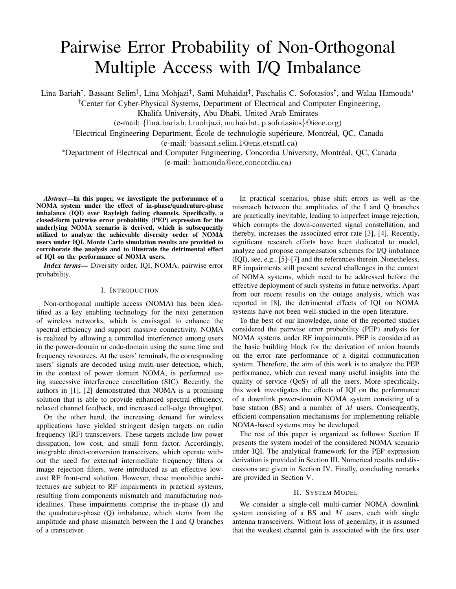# Pairwise Error Probability of Non-Orthogonal Multiple Access with I/Q Imbalance

Lina Bariah<sup>†</sup>, Bassant Selim<sup>‡</sup>, Lina Mohjazi<sup>†</sup>, Sami Muhaidat<sup>†</sup>, Paschalis C. Sofotasios<sup>†</sup>, and Walaa Hamouda\*

†Center for Cyber-Physical Systems, Department of Electrical and Computer Engineering,

Khalifa University, Abu Dhabi, United Arab Emirates

(e-mail: {lina.bariah, l.mohjazi, muhaidat, p.sofotasios}@ieee.org)

 ${}^{\ddagger}$ Electrical Engineering Department, École de technologie supérieure, Montréal, QC, Canada (e-mail: bassant.selim.1@ens.etsmtl.ca)

\*Department of Electrical and Computer Engineering, Concordia University, Montréal, QC, Canada (e-mail: hamouda@ece.concordia.ca)

*Abstract*—In this paper, we investigate the performance of a NOMA system under the effect of in-phase/quadrature-phase imbalance (IQI) over Rayleigh fading channels. Specifically, a closed-form pairwise error probability (PEP) expression for the underlying NOMA scenario is derived, which is subsequently utilized to analyze the achievable diversity order of NOMA users under IQI. Monte Carlo simulation results are provided to corroborate the analysis and to illustrate the detrimental effect of IQI on the performance of NOMA users.

*Index terms—* Diversity order, IQI, NOMA, pairwise error probability.

## I. INTRODUCTION

Non-orthogonal multiple access (NOMA) has been identified as a key enabling technology for the next generation of wireless networks, which is envisaged to enhance the spectral efficiency and support massive connectivity. NOMA is realized by allowing a controlled interference among users in the power-domain or code-domain using the same time and frequency resources. At the users' terminals, the corresponding users' signals are decoded using multi-user detection, which, in the context of power domain NOMA, is performed using successive interference cancellation (SIC). Recently, the authors in [1], [2] demonstrated that NOMA is a promising solution that is able to provide enhanced spectral efficiency, relaxed channel feedback, and increased cell-edge throughput.

On the other hand, the increasing demand for wireless applications have yielded stringent design targets on radio frequency (RF) transceivers. These targets include low power dissipation, low cost, and small form factor. Accordingly, integrable direct-conversion transceivers, which operate without the need for external intermediate frequency filters or image rejection filters, were introduced as an effective lowcost RF front-end solution. However, these monolithic architectures are subject to RF impairments in practical systems, resulting from components mismatch and manufacturing nonidealities. These impairments comprise the in-phase (I) and the quadrature-phase (Q) imbalance, which stems from the amplitude and phase mismatch between the I and Q branches of a transceiver.

In practical scenarios, phase shift errors as well as the mismatch between the amplitudes of the I and Q branches are practically inevitable, leading to imperfect image rejection, which corrupts the down-converted signal constellation, and thereby, increases the associated error rate [3], [4]. Recently, significant research efforts have been dedicated to model, analyze and propose compensation schemes for I/Q imbalance (IQI), see, e.g., [5]–[7] and the references therein. Nonetheless, RF impairments still present several challenges in the context of NOMA systems, which need to be addressed before the effective deployment of such systems in future networks. Apart from our recent results on the outage analysis, which was reported in [8], the detrimental effects of IQI on NOMA systems have not been well-studied in the open literature.

To the best of our knowledge, none of the reported studies considered the pairwise error probability (PEP) analysis for NOMA systems under RF impairments. PEP is considered as the basic building block for the derivation of union bounds on the error rate performance of a digital communication system. Therefore, the aim of this work is to analyze the PEP performance, which can reveal many useful insights into the quality of service (QoS) of all the users. More specifically, this work investigates the effects of IQI on the performance of a downlink power-domain NOMA system consisting of a base station (BS) and a number of M users. Consequently, efficient compensation mechanisms for implementing reliable NOMA-based systems may be developed.

The rest of this paper is organized as follows: Section II presents the system model of the considered NOMA scenario under IQI. The analytical framework for the PEP expression derivation is provided in Section III. Numerical results and discussions are given in Section IV. Finally, concluding remarks are provided in Section V.

## II. SYSTEM MODEL

We consider a single-cell multi-carrier NOMA downlink system consisting of a BS and  $M$  users, each with single antenna transceivers. Without loss of generality, it is assumed that the weakest channel gain is associated with the first user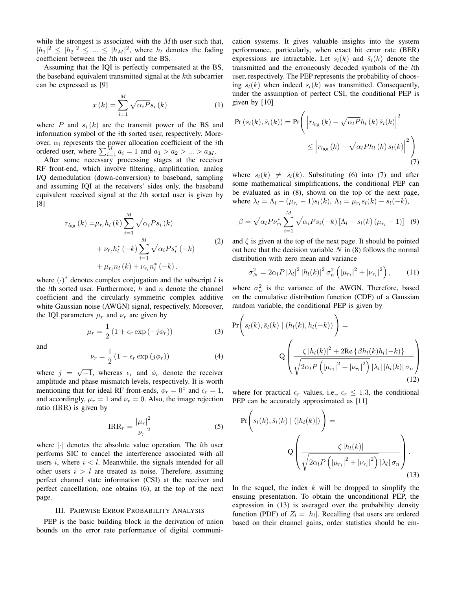while the strongest is associated with the  $M$ th user such that,  $|h_1|^2 \leq |h_2|^2 \leq ... \leq |h_M|^2$ , where  $h_l$  denotes the fading coefficient between the lth user and the BS.

Assuming that the IQI is perfectly compensated at the BS, the baseband equivalent transmitted signal at the kth subcarrier can be expressed as [9]

$$
x(k) = \sum_{i=1}^{M} \sqrt{\alpha_i P} s_i(k)
$$
 (1)

where P and  $s_i(k)$  are the transmit power of the BS and information symbol of the ith sorted user, respectively. Moreover,  $\alpha_i$  represents the power allocation coefficient of the *i*th ordered user, where  $\sum_{i=1}^{M} a_i = 1$  and  $a_1 > a_2 > ... > a_M$ .

After some necessary processing stages at the receiver RF front-end, which involve filtering, amplification, analog I/Q demodulation (down-conversion) to baseband, sampling and assuming IQI at the receivers' sides only, the baseband equivalent received signal at the lth sorted user is given by [8]

$$
r_{l_{\text{IQI}}}(k) = \mu_{r_l} h_l(k) \sum_{i=1}^{M} \sqrt{\alpha_i P s_i(k)} + \nu_{r_l} h_l^* (-k) \sum_{i=1}^{M} \sqrt{\alpha_i P s_i^* (-k)} + \mu_{r_l} n_l(k) + \nu_{r_l} n_l^* (-k).
$$
 (2)

where  $(\cdot)^*$  denotes complex conjugation and the subscript l is the *l*th sorted user. Furthermore,  $h$  and  $n$  denote the channel coefficient and the circularly symmetric complex additive white Gaussian noise (AWGN) signal, respectively. Moreover, the IQI parameters  $\mu_r$  and  $\nu_r$  are given by

$$
\mu_r = \frac{1}{2} \left( 1 + \epsilon_r \exp\left( -j\phi_r \right) \right) \tag{3}
$$

and

$$
\nu_r = \frac{1}{2} \left( 1 - \epsilon_r \exp\left( j \phi_r \right) \right) \tag{4}
$$

where  $j = \sqrt{-1}$ , whereas  $\epsilon_r$  and  $\phi_r$  denote the receiver amplitude and phase mismatch levels, respectively. It is worth mentioning that for ideal RF front-ends,  $\phi_r = 0^{\circ}$  and  $\epsilon_r = 1$ , and accordingly,  $\mu_r = 1$  and  $\nu_r = 0$ . Also, the image rejection ratio (IRR) is given by

$$
IRR_r = \frac{|\mu_r|^2}{|\nu_r|^2}
$$
 (5)

where  $|\cdot|$  denotes the absolute value operation. The *l*th user performs SIC to cancel the interference associated with all users i, where  $i < l$ . Meanwhile, the signals intended for all other users  $i > l$  are treated as noise. Therefore, assuming perfect channel state information (CSI) at the receiver and perfect cancellation, one obtains (6), at the top of the next page.

## III. PAIRWISE ERROR PROBABILITY ANALYSIS

PEP is the basic building block in the derivation of union bounds on the error rate performance of digital communication systems. It gives valuable insights into the system performance, particularly, when exact bit error rate (BER) expressions are intractable. Let  $s_l(k)$  and  $\bar{s}_l(k)$  denote the transmitted and the erroneously decoded symbols of the lth user, respectively. The PEP represents the probability of choosing  $\bar{s}_l(k)$  when indeed  $s_l(k)$  was transmitted. Consequently, under the assumption of perfect CSI, the conditional PEP is given by [10]

$$
\begin{aligned} \Pr\left(s_l(k), \bar{s}_l(k)\right) &= \Pr\Bigg(\left|r_{l_{\text{IQI}}}\left(k\right) - \sqrt{\alpha_l P} h_l\left(k\right) \bar{s}_l(k)\right|^2 \\ &\leq \left|r_{l_{\text{IQI}}}\left(k\right) - \sqrt{\alpha_l P} h_l\left(k\right) s_l(k)\right|^2\Bigg) \end{aligned} \tag{7}
$$

where  $s_l(k) \neq \bar{s}_l(k)$ . Substituting (6) into (7) and after some mathematical simplifications, the conditional PEP can be evaluated as in (8), shown on the top of the next page, where  $\lambda_l = \Lambda_l - (\mu_{r_l} - 1)s_l(k)$ ,  $\Lambda_l = \mu_{r_l}s_l(k) - s_l(-k)$ ,

$$
\beta = \sqrt{\alpha_l P} \nu_{r_l}^* \sum_{i=1}^M \sqrt{\alpha_i P} s_i(-k) \left[ \Lambda_l - s_l(k) \left( \mu_{r_l} - 1 \right) \right] \tag{9}
$$

and  $\zeta$  is given at the top of the next page. It should be pointed out here that the decision variable  $N$  in (8) follows the normal distribution with zero mean and variance

$$
\sigma_N^2 = 2\alpha_l P |\lambda_l|^2 |h_l(k)|^2 \sigma_n^2 \left( |\mu_{r_l}|^2 + |\nu_{r_l}|^2 \right), \qquad (11)
$$

where  $\sigma_n^2$  is the variance of the AWGN. Therefore, based on the cumulative distribution function (CDF) of a Gaussian random variable, the conditional PEP is given by

$$
\Pr\left(s_l(k), \bar{s}_l(k) \mid (h_l(k), h_l(-k))\right) =
$$
\n
$$
Q\left(\frac{\zeta |h_l(k)|^2 + 2\text{Re}\left\{\beta h_l(k)h_l(-k)\right\}}{\sqrt{2\alpha_l P\left(|\mu_{r_l}|^2 + |\nu_{r_l}|^2\right)} |\lambda_l| |h_l(k)| \sigma_n}\right)
$$
\n(12)

where for practical  $\epsilon_r$  values, i.e.,  $\epsilon_r \leq 1.3$ , the conditional PEP can be accurately approximated as [11]

$$
\Pr\left(s_l(k), \bar{s}_l(k) \mid (|h_l(k)|)\right) =
$$
\n
$$
Q\left(\frac{\zeta |h_l(k)|}{\sqrt{2\alpha_l P\left(|\mu_{r_l}|^2 + |\nu_{r_l}|^2\right)} |\lambda_l| \sigma_n}\right).
$$
\n(13)

In the sequel, the index  $k$  will be dropped to simplify the ensuing presentation. To obtain the unconditional PEP, the expression in (13) is averaged over the probability density function (PDF) of  $Z_l = |h_l|$ . Recalling that users are ordered based on their channel gains, order statistics should be em-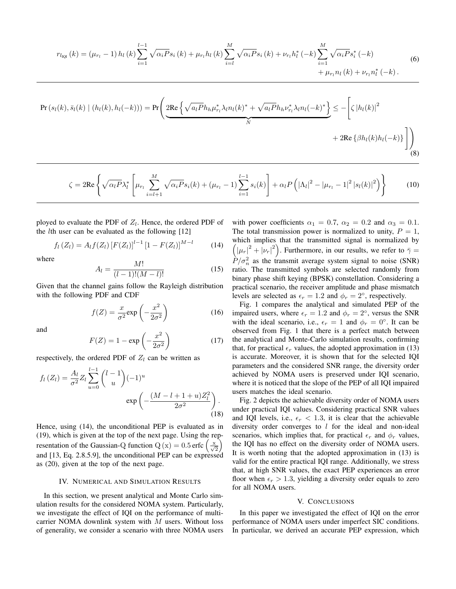$$
r_{l_{\text{IQI}}}(k) = (\mu_{r_l} - 1) h_l(k) \sum_{i=1}^{l-1} \sqrt{\alpha_i P} s_i(k) + \mu_{r_l} h_l(k) \sum_{i=l}^{M} \sqrt{\alpha_i P} s_i(k) + \nu_{r_l} h_l^* (-k) \sum_{i=1}^{M} \sqrt{\alpha_i P} s_i^* (-k) + \mu_{r_l} n_l (k) + \nu_{r_l} n_l^* (-k).
$$
\n(6)

$$
\Pr(s_l(k), \bar{s}_l(k) \mid (h_l(k), h_l(-k))) = \Pr\left(\underbrace{2\text{Re}\left\{\sqrt{a_l} \bar{P} h_h \mu_{r_l}^* \lambda_l n_l(k)^* + \sqrt{a_l} \bar{P} h_h \nu_{r_l}^* \lambda_l n_l(-k)^* \right\}}_{N} \leq -\left[\zeta |h_l(k)|^2 + 2\text{Re}\left\{\beta h_l(k) h_l(-k)\right\}\right]\right)_{(8)}
$$

$$
\zeta = 2\text{Re}\left\{\sqrt{\alpha_l P \lambda_l^*} \left[\mu_{r_l} \sum_{i=l+1}^M \sqrt{\alpha_i P s_i(k)} + (\mu_{r_l} - 1) \sum_{i=1}^{l-1} s_i(k)\right] + \alpha_l P\left(|\Lambda_l|^2 - |\mu_{r_l} - 1|^2 |s_l(k)|^2\right)\right\}
$$
(10)

ployed to evaluate the PDF of  $Z_l$ . Hence, the ordered PDF of the lth user can be evaluated as the following [12]

$$
f_l(Z_l) = A_l f(Z_l) [F(Z_l)]^{l-1} [1 - F(Z_l)]^{M-l}
$$
 (14)

where

$$
A_l = \frac{M!}{(l-1)!(M-l)!} \tag{15}
$$

Given that the channel gains follow the Rayleigh distribution with the following PDF and CDF

$$
f(Z) = \frac{x}{\sigma^2} \exp\left(-\frac{x^2}{2\sigma^2}\right) \tag{16}
$$

and

$$
F(Z) = 1 - \exp\left(-\frac{x^2}{2\sigma^2}\right) \tag{17}
$$

respectively, the ordered PDF of  $Z_l$  can be written as

$$
f_l(Z_l) = \frac{A_l}{\sigma^2} Z_l \sum_{u=0}^{l-1} {l-1 \choose u} (-1)^u
$$
  
exp $\left(-\frac{(M-l+1+u)Z_l^2}{2\sigma^2}\right)$ . (18)

Hence, using (14), the unconditional PEP is evaluated as in (19), which is given at the top of the next page. Using the representation of the Gaussian-Q function Q (x) = 0.5 erfc  $\left(\frac{x}{\sqrt{2}}\right)$ and [13, Eq. 2.8.5.9], the unconditional PEP can be expressed as (20), given at the top of the next page.

## IV. NUMERICAL AND SIMULATION RESULTS

In this section, we present analytical and Monte Carlo simulation results for the considered NOMA system. Particularly, we investigate the effect of IQI on the performance of multicarrier NOMA downlink system with  $M$  users. Without loss of generality, we consider a scenario with three NOMA users with power coefficients  $\alpha_1 = 0.7$ ,  $\alpha_2 = 0.2$  and  $\alpha_3 = 0.1$ . The total transmission power is normalized to unity,  $P = 1$ , which implies that the transmitted signal is normalized by  $|\mu_r|^2 + |\nu_r|^2$ ). Furthermore, in our results, we refer to  $\bar{\gamma} =$  $\hat{P}/\sigma_n^2$  as the transmit average system signal to noise (SNR) ratio. The transmitted symbols are selected randomly from binary phase shift keying (BPSK) constellation. Considering a practical scenario, the receiver amplitude and phase mismatch levels are selected as  $\epsilon_r = 1.2$  and  $\phi_r = 2^\circ$ , respectively.

Fig. 1 compares the analytical and simulated PEP of the impaired users, where  $\epsilon_r = 1.2$  and  $\phi_r = 2^\circ$ , versus the SNR with the ideal scenario, i.e.,  $\epsilon_r = 1$  and  $\phi_r = 0^\circ$ . It can be observed from Fig. 1 that there is a perfect match between the analytical and Monte-Carlo simulation results, confirming that, for practical  $\epsilon_r$  values, the adopted approximation in (13) is accurate. Moreover, it is shown that for the selected IQI parameters and the considered SNR range, the diversity order achieved by NOMA users is preserved under IQI scenario, where it is noticed that the slope of the PEP of all IQI impaired users matches the ideal scenario.

Fig. 2 depicts the achievable diversity order of NOMA users under practical IQI values. Considering practical SNR values and IQI levels, i.e.,  $\epsilon_r < 1.3$ , it is clear that the achievable diversity order converges to  $l$  for the ideal and non-ideal scenarios, which implies that, for practical  $\epsilon_r$  and  $\phi_r$  values, the IQI has no effect on the diversity order of NOMA users. It is worth noting that the adopted approximation in (13) is valid for the entire practical IQI range. Additionally, we stress that, at high SNR values, the exact PEP experiences an error floor when  $\epsilon_r > 1.3$ , yielding a diversity order equals to zero for all NOMA users.

#### V. CONCLUSIONS

In this paper we investigated the effect of IQI on the error performance of NOMA users under imperfect SIC conditions. In particular, we derived an accurate PEP expression, which